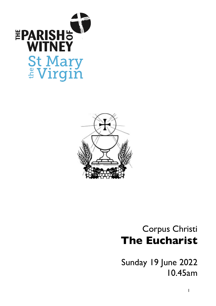



# Corpus Christi **The Eucharist**

Sunday 19 June 2022 10.45am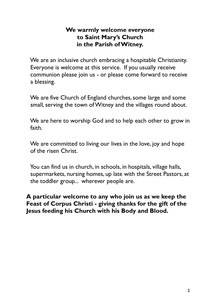# **We warmly welcome everyone to Saint Mary's Church in the Parish ofWitney.**

We are an inclusive church embracing a hospitable Christianity. Everyone is welcome at this service. If you usually receive communion please join us - or please come forward to receive a blessing.

We are five Church of England churches, some large and some small, serving the town of Witney and the villages round about.

We are here to worship God and to help each other to grow in faith.

We are committed to living our lives in the love, joy and hope of the risen Christ.

You can find us in church, in schools, in hospitals, village halls, supermarkets, nursing homes, up late with the Street Pastors, at the toddler group... wherever people are.

**A particular welcome to any who join us as we keep the Feast of Corpus Christi - giving thanks for the gift of the Jesus feeding his Church with his Body and Blood.**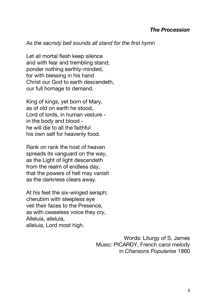#### *The Procession*

#### *As the sacristy bell sounds all stand for the first hymn*

Let all mortal flesh keep silence and with fear and trembling stand; ponder nothing earthly-minded, for with blessing in his hand Christ our God to earth descendeth, our full homage to demand.

King of kings, yet born of Mary, as of old on earth he stood, Lord of lords, in human vesture in the body and blood he will die to all the faithful his own self for heavenly food.

Rank on rank the host of heaven spreads its vanguard on the way, as the Light of light descendeth from the realm of endless day, that the powers of hell may vanish as the darkness clears away.

At his feet the six-winged seraph; cherubim with sleepless eye veil their faces to the Presence, as with ceaseless voice they cry, Alleluia, alleluia, alleluia, Lord most high.

> Words: Liturgy of S. James Music: PICARDY, French carol melody in *Chansons Popularise* 1860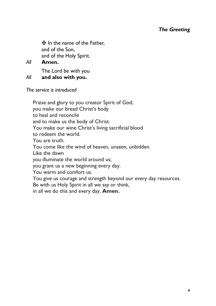# *The Greeting*

✠ In the name of the Father, and of the Son, and of the Holy Spirit.

## *All* **Amen.**

The Lord be with you *All* **and also with you.**

*The service is introduced*

Praise and glory to you creator Spirit of God; you make our bread Christ's body to heal and reconcile and to make us the body of Christ. You make our wine Christ's living sacrificial blood to redeem the world. You are truth. You come like the wind of heaven, unseen, unbidden. Like the dawn you illuminate the world around us; you grant us a new beginning every day. You warm and comfort us. You give us courage and strength beyond our every day resources. Be with us Holy Spirit in all we say or think, in all we do this and every day. **Amen.**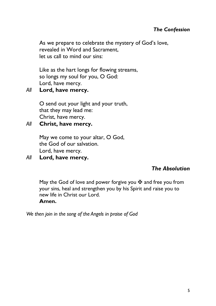# *The Confession*

As we prepare to celebrate the mystery of God's love, revealed in Word and Sacrament, let us call to mind our sins:

Like as the hart longs for flowing streams, so longs my soul for you, O God: Lord, have mercy.

# *All* **Lord, have mercy.**

O send out your light and your truth, that they may lead me: Christ, have mercy.

# *All* **Christ, have mercy.**

May we come to your altar, O God, the God of our salvation. Lord, have mercy.

# *All* **Lord, have mercy.**

# *The Absolution*

May the God of love and power forgive you  $\mathbf{\ddot{F}}$  and free you from your sins, heal and strengthen you by his Spirit and raise you to new life in Christ our Lord.

#### **Amen.**

*We then join in the song of the Angels in praise of God*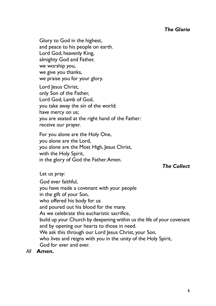Glory to God in the highest, and peace to his people on earth. Lord God, heavenly King, almighty God and Father, we worship you, we give you thanks, we praise you for your glory.

Lord Jesus Christ, only Son of the Father, Lord God, Lamb of God, you take away the sin of the world: have mercy on us; you are seated at the right hand of the Father: receive our prayer.

For you alone are the Holy One, you alone are the Lord, you alone are the Most High, Jesus Christ, with the Holy Spirit, in the glory of God the Father.Amen.

*The Collect*

Let us pray:

God ever faithful, you have made a covenant with your people in the gift of your Son, who offered his body for us and poured out his blood for the many. As we celebrate this eucharistic sacrifice, build up your Church by deepening within us the life of your covenant and by opening our hearts to those in need. We ask this through our Lord Jesus Christ, your Son, who lives and reigns with you in the unity of the Holy Spirit, God for ever and ever.

*All* **Amen.**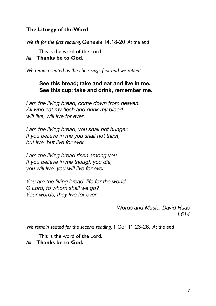# **The Liturgy of theWord**

*We sit for the first reading,* Genesis 14.18-20 *At the end*

This is the word of the Lord.

*All* **Thanks be to God.**

*We remain seated as the choir sings first and we repeat:*

#### **See this bread; take and eat and live in me. See this cup; take and drink, remember me.**

*I am the living bread, come down from heaven. All who eat my flesh and drink my blood will live, will live for ever.*

*I am the living bread, you shall not hunger. If you believe in me you shall not thirst, but live, but live for ever.*

*I am the living bread risen among you. If you believe in me though you die, you will live, you will live for ever.*

*You are the living bread, life for the world. O Lord, to whom shall we go? Your words, they live for ever.*

> *Words and Music: David Haas L614*

*We remain seated for the second reading,* 1 Cor 11.23-26. *At the end*

This is the word of the Lord.

#### *All* **Thanks be to God.**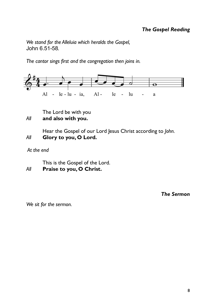# *The Gospel Reading*

*We stand for the Alleluia which heralds the Gospel,* John 6.51-58*.*

*The cantor sings first and the congregation then joins in.*



The Lord be with you *All* **and also with you.**

Hear the Gospel of our Lord Jesus Christ according to *John. All* **Glory to you, O Lord.**

*At the end*

This is the Gospel of the Lord. *All* **Praise to you, O Christ.**

*The Sermon*

*We sit for the sermon.*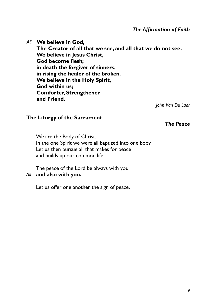*The Affirmation of Faith*

*All* **We believe in God, The Creator of all that we see, and all that we do not see. We believe in Jesus Christ, God become flesh; in death the forgiver of sinners, in rising the healer of the broken. We believe in the Holy Spirit, God within us; Comforter, Strengthener and Friend.**

*John Van De Laar*

#### **The Liturgy of the Sacrament**

*The Peace*

We are the Body of Christ. In the one Spirit we were all baptized into one body. Let us then pursue all that makes for peace and builds up our common life.

The peace of the Lord be always with you *All* **and also with you.**

Let us offer one another the sign of peace.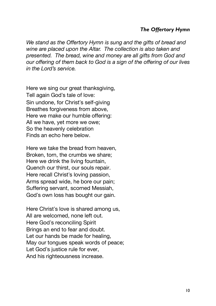#### *The Offertory Hymn*

*We stand as the Offertory Hymn is sung and the gifts of bread and wine are placed upon the Altar. The collection is also taken and presented. The bread, wine and money are all gifts from God and our offering of them back to God is a sign of the offering of our lives in the Lord's service.*

Here we sing our great thanksgiving, Tell again God's tale of love: Sin undone, for Christ's self-giving Breathes forgiveness from above, Here we make our humble offering: All we have, yet more we owe; So the heavenly celebration Finds an echo here below.

Here we take the bread from heaven, Broken, torn, the crumbs we share; Here we drink the living fountain, Quench our thirst, our souls repair. Here recall Christ's loving passion, Arms spread wide, he bore our pain; Suffering servant, scorned Messiah, God's own loss has bought our gain.

Here Christ's love is shared among us. All are welcomed, none left out. Here God's reconciling Spirit Brings an end to fear and doubt. Let our hands be made for healing, May our tongues speak words of peace; Let God's justice rule for ever. And his righteousness increase.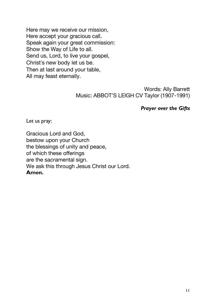Here may we receive our mission, Here accept your gracious call. Speak again your great commission: Show the Way of Life to all. Send us, Lord, to live your gospel, Christ's new body let us be. Then at last around your table, All may feast eternally.

> Words: Ally Barrett Music: ABBOT'S LEIGH CV Taylor (1907-1991)

#### *Prayer over the Gifts*

Let us pray:

Gracious Lord and God, bestow upon your Church the blessings of unity and peace, of which these offerings are the sacramental sign. We ask this through Jesus Christ our Lord. **Amen.**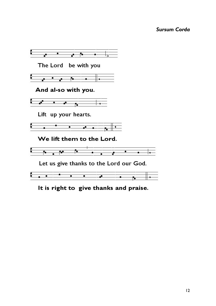## *Sursum Corda*



It is right to give thanks and praise.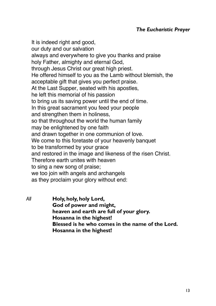It is indeed right and good. our duty and our salvation always and everywhere to give you thanks and praise holy Father, almighty and eternal God, through Jesus Christ our great high priest. He offered himself to you as the Lamb without blemish, the acceptable gift that gives you perfect praise. At the Last Supper, seated with his apostles, he left this memorial of his passion to bring us its saving power until the end of time. In this great sacrament you feed your people and strengthen them in holiness, so that throughout the world the human family may be enlightened by one faith and drawn together in one communion of love. We come to this foretaste of your heavenly banquet to be transformed by your grace and restored in the image and likeness of the risen Christ. Therefore earth unites with heaven to sing a new song of praise; we too join with angels and archangels as they proclaim your glory without end:

*All* **Holy, holy, holy Lord, God of power and might, heaven and earth are full of your glory. Hosanna in the highest! Blessed is he who comes in the name of the Lord. Hosanna in the highest!**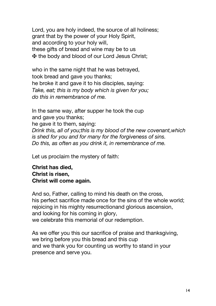Lord, you are holy indeed, the source of all holiness; grant that by the power of your Holy Spirit, and according to your holy will, these gifts of bread and wine may be to us ✠ the body and blood of our Lord Jesus Christ;

who in the same night that he was betrayed, took bread and gave you thanks; he broke it and gave it to his disciples, saying: *Take, eat; this is my body which is given for you; do this in remembrance of me.*

In the same way, after supper he took the cup and gave you thanks; he gave it to them, saying: *Drink this, all of you;this is my blood of the new covenant,which is shed for you and for many for the forgiveness of sins. Do this, as often as you drink it, in remembrance of me.*

Let us proclaim the mystery of faith:

**Christ has died, Christ is risen, Christ will come again.**

And so, Father, calling to mind his death on the cross, his perfect sacrifice made once for the sins of the whole world; rejoicing in his mighty resurrectionand glorious ascension, and looking for his coming in glory, we celebrate this memorial of our redemption.

As we offer you this our sacrifice of praise and thanksgiving, we bring before you this bread and this cup and we thank you for counting us worthy to stand in your presence and serve you.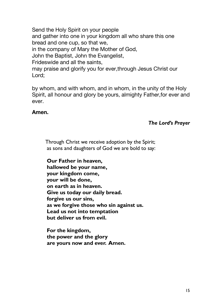Send the Holy Spirit on your people and gather into one in your kingdom all who share this one bread and one cup, so that we, in the company of Mary the Mother of God, John the Baptist, John the Evangelist, Frideswide and all the saints, may praise and glorify you for ever,through Jesus Christ our Lord;

by whom, and with whom, and in whom, in the unity of the Holy Spirit, all honour and glory be yours, almighty Father,for ever and ever.

# **Amen.**

#### *The Lord's Prayer*

Through Christ we receive adoption by the Spirit; as sons and daughters of God we are bold to say:

**Our Father in heaven, hallowed be your name, your kingdom come, your will be done, on earth as in heaven. Give us today our daily bread. forgive us our sins, as we forgive those who sin against us. Lead us not into temptation but deliver us from evil.**

**For the kingdom, the power and the glory are yours now and ever. Amen.**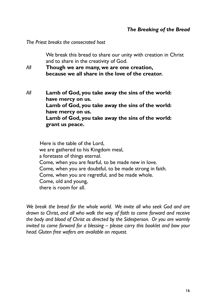#### *The Breaking of the Bread*

*The Priest breaks the consecrated host*

We break this bread to share our unity with creation in Christ and to share in the creativity of God.

*All* **Though we are many, we are one creation, because we all share in the love of the creator.**

*All* **Lamb of God, you take away the sins of the world: have mercy on us. Lamb of God, you take away the sins of the world: have mercy on us. Lamb of God, you take away the sins of the world: grant us peace.**

Here is the table of the Lord, we are gathered to his Kingdom meal, a foretaste of things eternal. Come, when you are fearful, to be made new in love. Come, when you are doubtful, to be made strong in faith. Come, when you are regretful, and be made whole. Come, old and young, there is room for all.

*We break the bread for the whole world. We invite all who seek God and are drawn to Christ, and all who walk the way of faith to come forward and receive the body and blood of Christ as directed by the Sidesperson. Or you are warmly invited to come forward for a blessing – please carry this booklet and bow your head. Gluten free wafers are available on request.*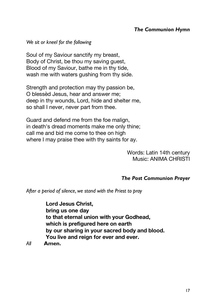# *The Communion Hymn*

*We sit or kneel for the following*

Soul of my Saviour sanctify my breast, Body of Christ, be thou my saving guest, Blood of my Saviour, bathe me in thy tide, wash me with waters gushing from thy side.

Strength and protection may thy passion be, O blessèd Jesus, hear and answer me; deep in thy wounds, Lord, hide and shelter me, so shall I never, never part from thee.

Guard and defend me from the foe malign, in death's dread moments make me only thine; call me and bid me come to thee on high where I may praise thee with thy saints for ay.

> Words: Latin 14th century Music: ANIMA CHRISTI

#### *The Post Communion Prayer*

*After a period of silence, we stand with the Priest to pray*

**Lord Jesus Christ, bring us one day to that eternal union with your Godhead, which is prefigured here on earth by our sharing in your sacred body and blood. You live and reign for ever and ever.**

*All* **Amen.**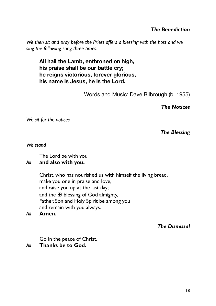# *The Benediction*

*We then sit and pray before the Priest offers a blessing with the host and we sing the following song three times:*

**All hail the Lamb, enthroned on high, his praise shall be our battle cry; he reigns victorious, forever glorious, his name is Jesus, he is the Lord.**

Words and Music: Dave Bilbrough (b. 1955)

*The Notices*

*We sit for the notices*

#### *The Blessing*

*We stand*

The Lord be with you

#### *All* **and also with you.**

Christ, who has nourished us with himself the living bread, make you one in praise and love, and raise you up at the last day; and the  $\mathbf{\Psi}$  blessing of God almighty, Father, Son and Holy Spirit be among you and remain with you always.

*All* **Amen.**

*The Dismissal*

Go in the peace of Christ.

*All* **Thanks be to God.**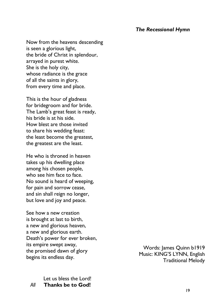#### *The Recessional Hymn*

Now from the heavens descending is seen a glorious light, the bride of Christ in splendour, arrayed in purest white. She is the holy city, whose radiance is the grace of all the saints in glory, from every time and place.

This is the hour of gladness for bridegroom and for bride. The Lamb's great feast is ready, his bride is at his side. How blest are those invited to share his wedding feast: the least become the greatest, the greatest are the least.

He who is throned in heaven takes up his dwelling place among his chosen people, who see him face to face. No sound is heard of weeping, for pain and sorrow cease, and sin shall reign no longer, but love and joy and peace.

See how a new creation is brought at last to birth, a new and glorious heaven, a new and glorious earth. Death's power for ever broken, its empire swept away, the promised dawn of glory begins its endless day.

Let us bless the Lord! *All* **Thanks be to God!**

Words: James Quinn b1919 Music: KING'S LYNN, English Traditional Melody